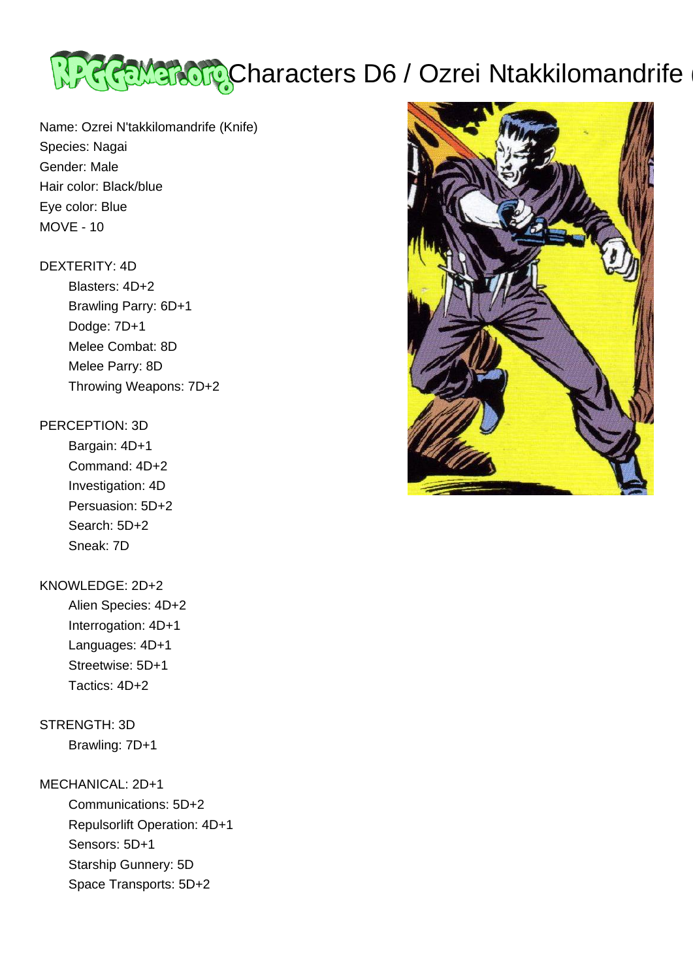

Name: Ozrei N'takkilomandrife (Knife) Species: Nagai Gender: Male Hair color: Black/blue Eye color: Blue MOVE - 10

#### DEXTERITY: 4D

 Blasters: 4D+2 Brawling Parry: 6D+1 Dodge: 7D+1 Melee Combat: 8D Melee Parry: 8D Throwing Weapons: 7D+2

#### PERCEPTION: 3D

 Bargain: 4D+1 Command: 4D+2 Investigation: 4D Persuasion: 5D+2 Search: 5D+2 Sneak: 7D

# KNOWLEDGE: 2D+2

 Alien Species: 4D+2 Interrogation: 4D+1 Languages: 4D+1 Streetwise: 5D+1 Tactics: 4D+2

# STRENGTH: 3D

Brawling: 7D+1

## MECHANICAL: 2D+1

 Communications: 5D+2 Repulsorlift Operation: 4D+1 Sensors: 5D+1 Starship Gunnery: 5D Space Transports: 5D+2

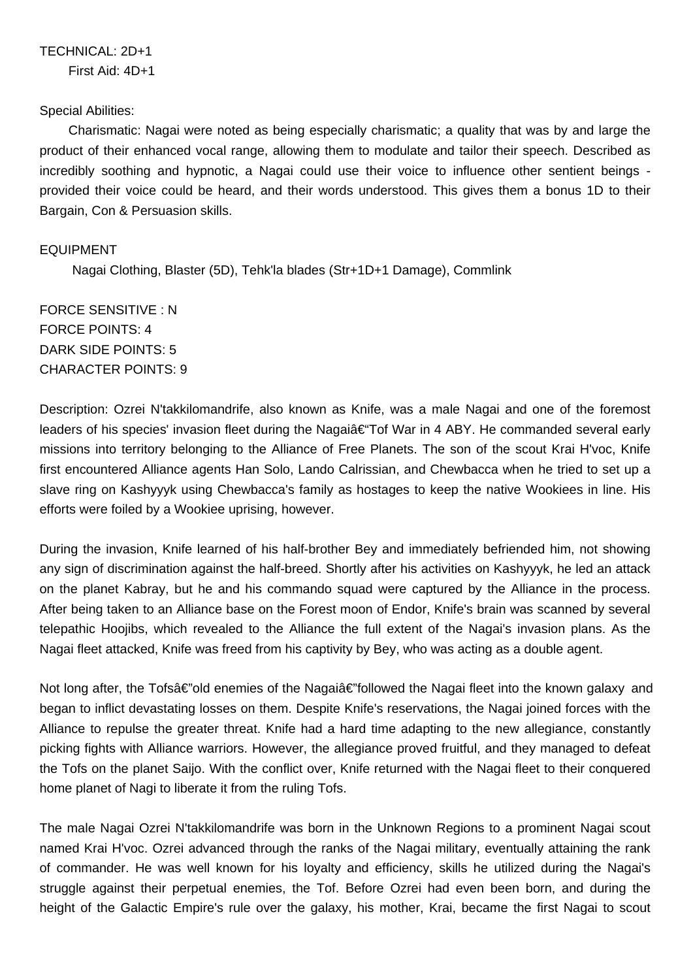### Special Abilities:

 Charismatic: Nagai were noted as being especially charismatic; a quality that was by and large the product of their enhanced vocal range, allowing them to modulate and tailor their speech. Described as incredibly soothing and hypnotic, a Nagai could use their voice to influence other sentient beings provided their voice could be heard, and their words understood. This gives them a bonus 1D to their Bargain, Con & Persuasion skills.

## EQUIPMENT

Nagai Clothing, Blaster (5D), Tehk'la blades (Str+1D+1 Damage), Commlink

FORCE SENSITIVE : N FORCE POINTS: 4 DARK SIDE POINTS: 5 CHARACTER POINTS: 9

Description: Ozrei N'takkilomandrife, also known as Knife, was a male Nagai and one of the foremost leaders of his species' invasion fleet during the Nagai†Tof War in 4 ABY. He commanded several early missions into territory belonging to the Alliance of Free Planets. The son of the scout Krai H'voc, Knife first encountered Alliance agents Han Solo, Lando Calrissian, and Chewbacca when he tried to set up a slave ring on Kashyyyk using Chewbacca's family as hostages to keep the native Wookiees in line. His efforts were foiled by a Wookiee uprising, however.

During the invasion, Knife learned of his half-brother Bey and immediately befriended him, not showing any sign of discrimination against the half-breed. Shortly after his activities on Kashyyyk, he led an attack on the planet Kabray, but he and his commando squad were captured by the Alliance in the process. After being taken to an Alliance base on the Forest moon of Endor, Knife's brain was scanned by several telepathic Hoojibs, which revealed to the Alliance the full extent of the Nagai's invasion plans. As the Nagai fleet attacked, Knife was freed from his captivity by Bey, who was acting as a double agent.

Not long after, the Tofsâ€"old enemies of the Nagaiâ€"followed the Nagai fleet into the known galaxy and began to inflict devastating losses on them. Despite Knife's reservations, the Nagai joined forces with the Alliance to repulse the greater threat. Knife had a hard time adapting to the new allegiance, constantly picking fights with Alliance warriors. However, the allegiance proved fruitful, and they managed to defeat the Tofs on the planet Saijo. With the conflict over, Knife returned with the Nagai fleet to their conquered home planet of Nagi to liberate it from the ruling Tofs.

The male Nagai Ozrei N'takkilomandrife was born in the Unknown Regions to a prominent Nagai scout named Krai H'voc. Ozrei advanced through the ranks of the Nagai military, eventually attaining the rank of commander. He was well known for his loyalty and efficiency, skills he utilized during the Nagai's struggle against their perpetual enemies, the Tof. Before Ozrei had even been born, and during the height of the Galactic Empire's rule over the galaxy, his mother, Krai, became the first Nagai to scout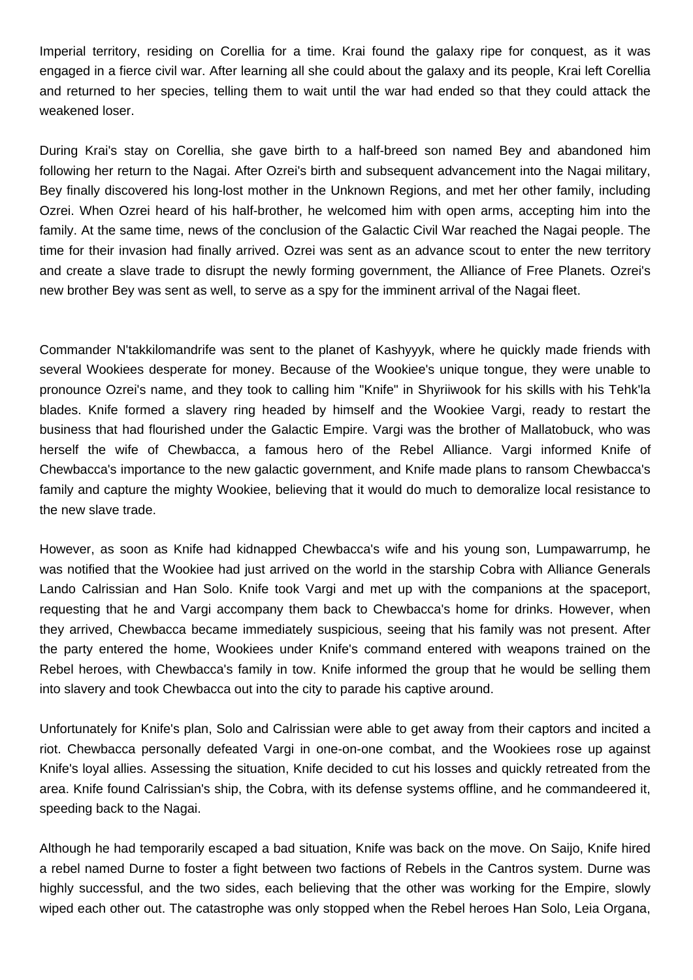Imperial territory, residing on Corellia for a time. Krai found the galaxy ripe for conquest, as it was engaged in a fierce civil war. After learning all she could about the galaxy and its people, Krai left Corellia and returned to her species, telling them to wait until the war had ended so that they could attack the weakened loser.

During Krai's stay on Corellia, she gave birth to a half-breed son named Bey and abandoned him following her return to the Nagai. After Ozrei's birth and subsequent advancement into the Nagai military, Bey finally discovered his long-lost mother in the Unknown Regions, and met her other family, including Ozrei. When Ozrei heard of his half-brother, he welcomed him with open arms, accepting him into the family. At the same time, news of the conclusion of the Galactic Civil War reached the Nagai people. The time for their invasion had finally arrived. Ozrei was sent as an advance scout to enter the new territory and create a slave trade to disrupt the newly forming government, the Alliance of Free Planets. Ozrei's new brother Bey was sent as well, to serve as a spy for the imminent arrival of the Nagai fleet.

Commander N'takkilomandrife was sent to the planet of Kashyyyk, where he quickly made friends with several Wookiees desperate for money. Because of the Wookiee's unique tongue, they were unable to pronounce Ozrei's name, and they took to calling him "Knife" in Shyriiwook for his skills with his Tehk'la blades. Knife formed a slavery ring headed by himself and the Wookiee Vargi, ready to restart the business that had flourished under the Galactic Empire. Vargi was the brother of Mallatobuck, who was herself the wife of Chewbacca, a famous hero of the Rebel Alliance. Vargi informed Knife of Chewbacca's importance to the new galactic government, and Knife made plans to ransom Chewbacca's family and capture the mighty Wookiee, believing that it would do much to demoralize local resistance to the new slave trade.

However, as soon as Knife had kidnapped Chewbacca's wife and his young son, Lumpawarrump, he was notified that the Wookiee had just arrived on the world in the starship Cobra with Alliance Generals Lando Calrissian and Han Solo. Knife took Vargi and met up with the companions at the spaceport, requesting that he and Vargi accompany them back to Chewbacca's home for drinks. However, when they arrived, Chewbacca became immediately suspicious, seeing that his family was not present. After the party entered the home, Wookiees under Knife's command entered with weapons trained on the Rebel heroes, with Chewbacca's family in tow. Knife informed the group that he would be selling them into slavery and took Chewbacca out into the city to parade his captive around.

Unfortunately for Knife's plan, Solo and Calrissian were able to get away from their captors and incited a riot. Chewbacca personally defeated Vargi in one-on-one combat, and the Wookiees rose up against Knife's loyal allies. Assessing the situation, Knife decided to cut his losses and quickly retreated from the area. Knife found Calrissian's ship, the Cobra, with its defense systems offline, and he commandeered it, speeding back to the Nagai.

Although he had temporarily escaped a bad situation, Knife was back on the move. On Saijo, Knife hired a rebel named Durne to foster a fight between two factions of Rebels in the Cantros system. Durne was highly successful, and the two sides, each believing that the other was working for the Empire, slowly wiped each other out. The catastrophe was only stopped when the Rebel heroes Han Solo, Leia Organa,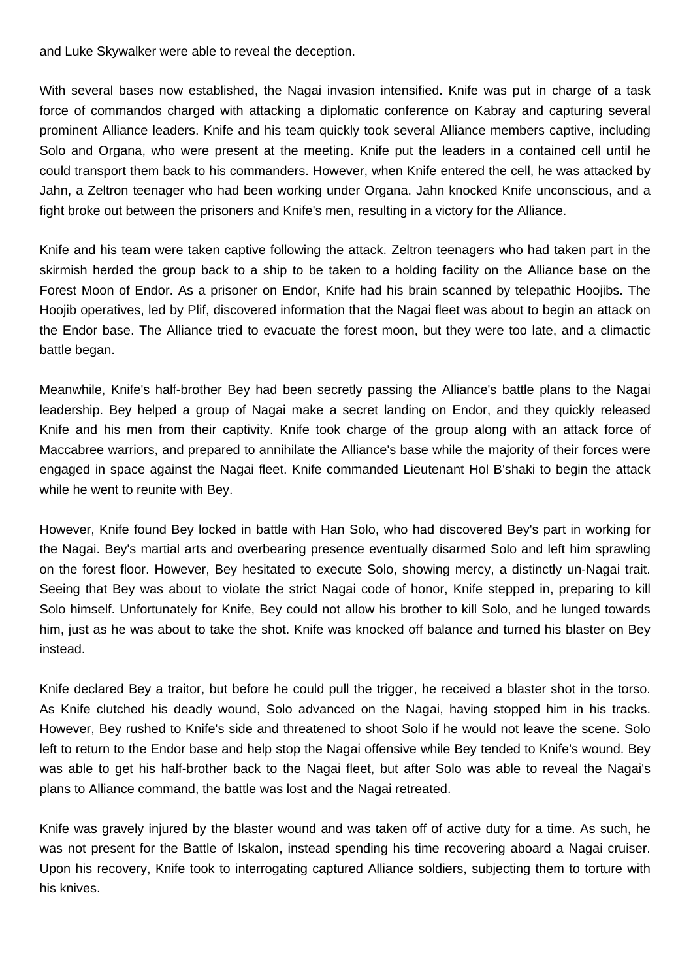and Luke Skywalker were able to reveal the deception.

With several bases now established, the Nagai invasion intensified. Knife was put in charge of a task force of commandos charged with attacking a diplomatic conference on Kabray and capturing several prominent Alliance leaders. Knife and his team quickly took several Alliance members captive, including Solo and Organa, who were present at the meeting. Knife put the leaders in a contained cell until he could transport them back to his commanders. However, when Knife entered the cell, he was attacked by Jahn, a Zeltron teenager who had been working under Organa. Jahn knocked Knife unconscious, and a fight broke out between the prisoners and Knife's men, resulting in a victory for the Alliance.

Knife and his team were taken captive following the attack. Zeltron teenagers who had taken part in the skirmish herded the group back to a ship to be taken to a holding facility on the Alliance base on the Forest Moon of Endor. As a prisoner on Endor, Knife had his brain scanned by telepathic Hoojibs. The Hoojib operatives, led by Plif, discovered information that the Nagai fleet was about to begin an attack on the Endor base. The Alliance tried to evacuate the forest moon, but they were too late, and a climactic battle began.

Meanwhile, Knife's half-brother Bey had been secretly passing the Alliance's battle plans to the Nagai leadership. Bey helped a group of Nagai make a secret landing on Endor, and they quickly released Knife and his men from their captivity. Knife took charge of the group along with an attack force of Maccabree warriors, and prepared to annihilate the Alliance's base while the majority of their forces were engaged in space against the Nagai fleet. Knife commanded Lieutenant Hol B'shaki to begin the attack while he went to reunite with Bey.

However, Knife found Bey locked in battle with Han Solo, who had discovered Bey's part in working for the Nagai. Bey's martial arts and overbearing presence eventually disarmed Solo and left him sprawling on the forest floor. However, Bey hesitated to execute Solo, showing mercy, a distinctly un-Nagai trait. Seeing that Bey was about to violate the strict Nagai code of honor, Knife stepped in, preparing to kill Solo himself. Unfortunately for Knife, Bey could not allow his brother to kill Solo, and he lunged towards him, just as he was about to take the shot. Knife was knocked off balance and turned his blaster on Bey instead.

Knife declared Bey a traitor, but before he could pull the trigger, he received a blaster shot in the torso. As Knife clutched his deadly wound, Solo advanced on the Nagai, having stopped him in his tracks. However, Bey rushed to Knife's side and threatened to shoot Solo if he would not leave the scene. Solo left to return to the Endor base and help stop the Nagai offensive while Bey tended to Knife's wound. Bey was able to get his half-brother back to the Nagai fleet, but after Solo was able to reveal the Nagai's plans to Alliance command, the battle was lost and the Nagai retreated.

Knife was gravely injured by the blaster wound and was taken off of active duty for a time. As such, he was not present for the Battle of Iskalon, instead spending his time recovering aboard a Nagai cruiser. Upon his recovery, Knife took to interrogating captured Alliance soldiers, subjecting them to torture with his knives.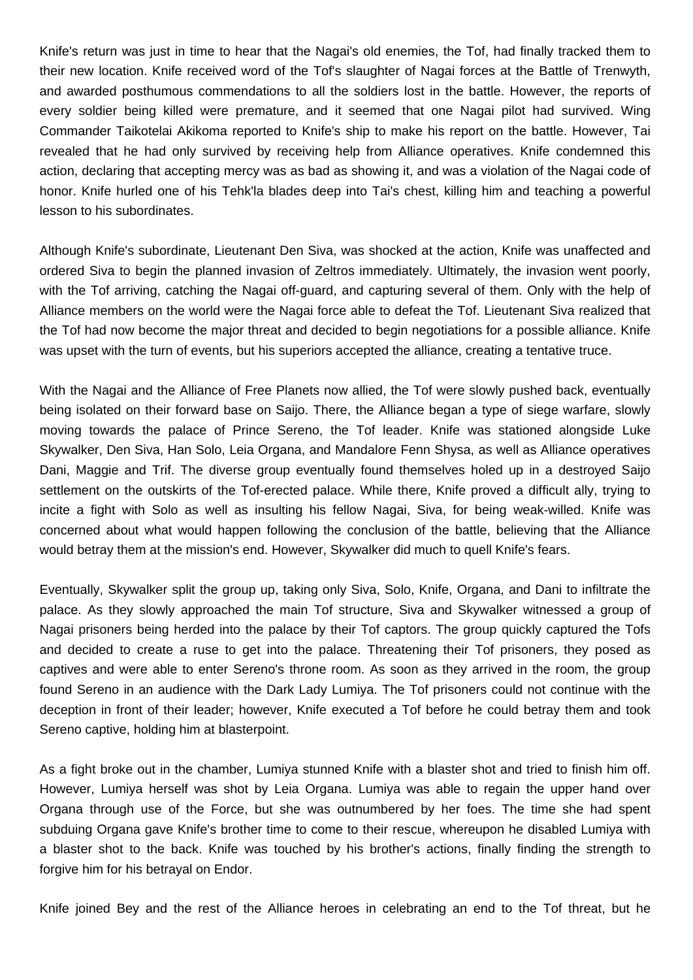Knife's return was just in time to hear that the Nagai's old enemies, the Tof, had finally tracked them to their new location. Knife received word of the Tof's slaughter of Nagai forces at the Battle of Trenwyth, and awarded posthumous commendations to all the soldiers lost in the battle. However, the reports of every soldier being killed were premature, and it seemed that one Nagai pilot had survived. Wing Commander Taikotelai Akikoma reported to Knife's ship to make his report on the battle. However, Tai revealed that he had only survived by receiving help from Alliance operatives. Knife condemned this action, declaring that accepting mercy was as bad as showing it, and was a violation of the Nagai code of honor. Knife hurled one of his Tehk'la blades deep into Tai's chest, killing him and teaching a powerful lesson to his subordinates.

Although Knife's subordinate, Lieutenant Den Siva, was shocked at the action, Knife was unaffected and ordered Siva to begin the planned invasion of Zeltros immediately. Ultimately, the invasion went poorly, with the Tof arriving, catching the Nagai off-guard, and capturing several of them. Only with the help of Alliance members on the world were the Nagai force able to defeat the Tof. Lieutenant Siva realized that the Tof had now become the major threat and decided to begin negotiations for a possible alliance. Knife was upset with the turn of events, but his superiors accepted the alliance, creating a tentative truce.

With the Nagai and the Alliance of Free Planets now allied, the Tof were slowly pushed back, eventually being isolated on their forward base on Saijo. There, the Alliance began a type of siege warfare, slowly moving towards the palace of Prince Sereno, the Tof leader. Knife was stationed alongside Luke Skywalker, Den Siva, Han Solo, Leia Organa, and Mandalore Fenn Shysa, as well as Alliance operatives Dani, Maggie and Trif. The diverse group eventually found themselves holed up in a destroyed Saijo settlement on the outskirts of the Tof-erected palace. While there, Knife proved a difficult ally, trying to incite a fight with Solo as well as insulting his fellow Nagai, Siva, for being weak-willed. Knife was concerned about what would happen following the conclusion of the battle, believing that the Alliance would betray them at the mission's end. However, Skywalker did much to quell Knife's fears.

Eventually, Skywalker split the group up, taking only Siva, Solo, Knife, Organa, and Dani to infiltrate the palace. As they slowly approached the main Tof structure, Siva and Skywalker witnessed a group of Nagai prisoners being herded into the palace by their Tof captors. The group quickly captured the Tofs and decided to create a ruse to get into the palace. Threatening their Tof prisoners, they posed as captives and were able to enter Sereno's throne room. As soon as they arrived in the room, the group found Sereno in an audience with the Dark Lady Lumiya. The Tof prisoners could not continue with the deception in front of their leader; however, Knife executed a Tof before he could betray them and took Sereno captive, holding him at blasterpoint.

As a fight broke out in the chamber, Lumiya stunned Knife with a blaster shot and tried to finish him off. However, Lumiya herself was shot by Leia Organa. Lumiya was able to regain the upper hand over Organa through use of the Force, but she was outnumbered by her foes. The time she had spent subduing Organa gave Knife's brother time to come to their rescue, whereupon he disabled Lumiya with a blaster shot to the back. Knife was touched by his brother's actions, finally finding the strength to forgive him for his betrayal on Endor.

Knife joined Bey and the rest of the Alliance heroes in celebrating an end to the Tof threat, but he